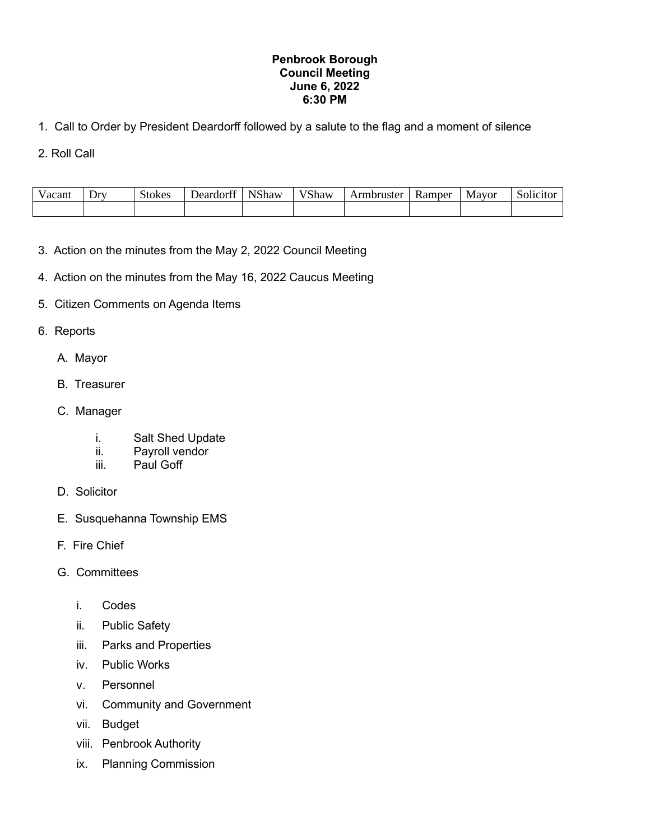## **Penbrook Borough Council Meeting June 6, 2022 6:30 PM**

- 1. Call to Order by President Deardorff followed by a salute to the flag and a moment of silence
- 2. Roll Call

| 'acant | Dr <sub>x</sub> | itokes | $\sim$<br>Deardort' | <b>STC1</b><br>Shaw | <b>17C1</b><br><b>Shaw</b> | Armbruster | <b>Ramper</b> | Mayor | $\cdot$<br>$\sim$<br>`∩l1∟ |
|--------|-----------------|--------|---------------------|---------------------|----------------------------|------------|---------------|-------|----------------------------|
|        |                 |        |                     |                     |                            |            |               |       |                            |

- 3. Action on the minutes from the May 2, 2022 Council Meeting
- 4. Action on the minutes from the May 16, 2022 Caucus Meeting
- 5. Citizen Comments on Agenda Items

## 6. Reports

- A. Mayor
- B. Treasurer
- C. Manager
	- i. Salt Shed Update
	- ii. Payroll vendor
	- iii. Paul Goff
- D. Solicitor
- E. Susquehanna Township EMS
- F. Fire Chief
- G. Committees
	- i. Codes
	- ii. Public Safety
	- iii. Parks and Properties
	- iv. Public Works
	- v. Personnel
	- vi. Community and Government
	- vii. Budget
	- viii. Penbrook Authority
	- ix. Planning Commission